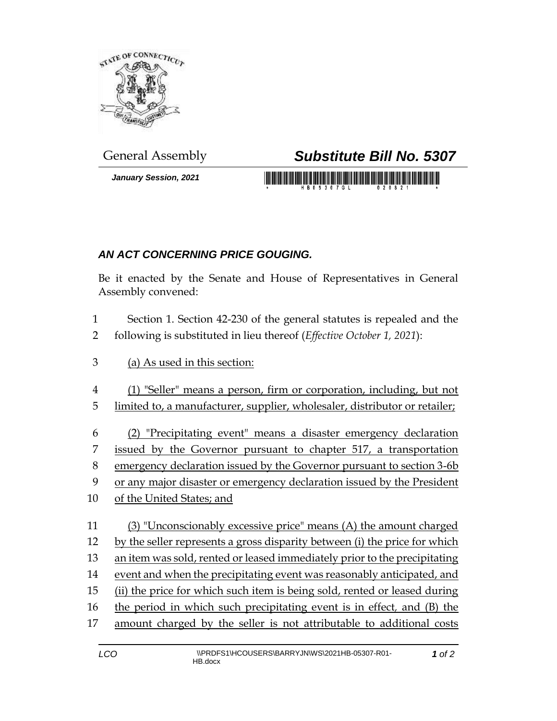

*January Session, 2021*

## General Assembly *Substitute Bill No. 5307*

## *AN ACT CONCERNING PRICE GOUGING.*

Be it enacted by the Senate and House of Representatives in General Assembly convened:

- Section 1. Section 42-230 of the general statutes is repealed and the following is substituted in lieu thereof (*Effective October 1, 2021*):
- (a) As used in this section:
- (1) "Seller" means a person, firm or corporation, including, but not
- limited to, a manufacturer, supplier, wholesaler, distributor or retailer;
- (2) "Precipitating event" means a disaster emergency declaration
- issued by the Governor pursuant to chapter 517, a transportation
- emergency declaration issued by the Governor pursuant to section 3-6b
- or any major disaster or emergency declaration issued by the President
- of the United States; and
- (3) "Unconscionably excessive price" means (A) the amount charged by the seller represents a gross disparity between (i) the price for which an item was sold, rented or leased immediately prior to the precipitating event and when the precipitating event was reasonably anticipated, and (ii) the price for which such item is being sold, rented or leased during the period in which such precipitating event is in effect*,* and (B) the amount charged by the seller is not attributable to additional costs

*of 2*